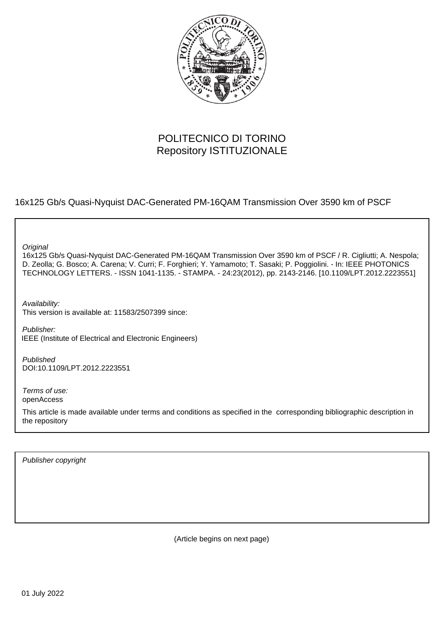

# POLITECNICO DI TORINO Repository ISTITUZIONALE

16x125 Gb/s Quasi-Nyquist DAC-Generated PM-16QAM Transmission Over 3590 km of PSCF

**Original** 

16x125 Gb/s Quasi-Nyquist DAC-Generated PM-16QAM Transmission Over 3590 km of PSCF / R. Cigliutti; A. Nespola; D. Zeolla; G. Bosco; A. Carena; V. Curri; F. Forghieri; Y. Yamamoto; T. Sasaki; P. Poggiolini. - In: IEEE PHOTONICS TECHNOLOGY LETTERS. - ISSN 1041-1135. - STAMPA. - 24:23(2012), pp. 2143-2146. [10.1109/LPT.2012.2223551]

Availability: This version is available at: 11583/2507399 since:

Publisher: IEEE (Institute of Electrical and Electronic Engineers)

Published DOI:10.1109/LPT.2012.2223551

Terms of use: openAccess

This article is made available under terms and conditions as specified in the corresponding bibliographic description in the repository

Publisher copyright

(Article begins on next page)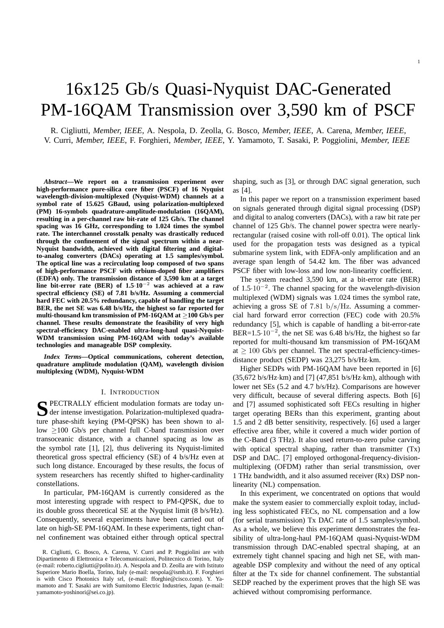# 16x125 Gb/s Quasi-Nyquist DAC-Generated PM-16QAM Transmission over 3,590 km of PSCF

R. Cigliutti, *Member, IEEE*, A. Nespola, D. Zeolla, G. Bosco, *Member, IEEE*, A. Carena, *Member, IEEE*, V. Curri, *Member, IEEE*, F. Forghieri, *Member, IEEE*, Y. Yamamoto, T. Sasaki, P. Poggiolini, *Member, IEEE*

*Abstract***—We report on a transmission experiment over high-performance pure-silica core fiber (PSCF) of 16 Nyquist wavelength-division-multiplexed (Nyquist-WDM) channels at a symbol rate of 15.625 GBaud, using polarization-multiplexed (PM) 16-symbols quadrature-amplitude-modulation (16QAM), resulting in a per-channel raw bit-rate of 125 Gb/s. The channel spacing was 16 GHz, corresponding to 1.024 times the symbol rate. The interchannel crosstalk penalty was drastically reduced through the confinement of the signal spectrum within a near-Nyquist bandwidth, achieved with digital filtering and digitalto-analog converters (DACs) operating at 1.5 samples/symbol. The optical line was a recirculating loop composed of two spans of high-performance PSCF with erbium-doped fiber amplifiers (EDFA) only. The transmission distance of 3,590 km at a target line bit-error rate (BER) of 1.5**·**10**<sup>−</sup><sup>2</sup> **was achieved at a raw spectral efficiency (SE) of 7.81 b/s/Hz. Assuming a commercial hard FEC with 20.5% redundancy, capable of handling the target BER, the net SE was 6.48 b/s/Hz, the highest so far reported for multi-thousand km transmission of PM-16QAM at** ≥**100 Gb/s per channel. These results demonstrate the feasibility of very high spectral-efficiency DAC-enabled ultra-long-haul quasi-Nyquist-WDM transmission using PM-16QAM with today's available technologies and manageable DSP complexity.**

*Index Terms***—Optical communications, coherent detection, quadrature amplitude modulation (QAM), wavelength division multiplexing (WDM), Nyquist-WDM**

#### I. INTRODUCTION

S PECTRALLY efficient modulation formats are today under intense investigation. Polarization-multiplexed quadrader intense investigation. Polarization-multiplexed quadrature phase-shift keying (PM-QPSK) has been shown to allow ≥100 Gb/s per channel full C-band transmission over transoceanic distance, with a channel spacing as low as the symbol rate [1], [2], thus delivering its Nyquist-limited theoretical gross spectral efficiency (SE) of 4 b/s/Hz even at such long distance. Encouraged by these results, the focus of system researchers has recently shifted to higher-cardinality constellations.

In particular, PM-16QAM is currently considered as the most interesting upgrade with respect to PM-QPSK, due to its double gross theoretical SE at the Nyquist limit (8 b/s/Hz). Consequently, several experiments have been carried out of late on high-SE PM-16QAM. In these experiments, tight channel confinement was obtained either through optical spectral

shaping, such as [3], or through DAC signal generation, such as [4].

In this paper we report on a transmission experiment based on signals generated through digital signal processing (DSP) and digital to analog converters (DACs), with a raw bit rate per channel of 125 Gb/s. The channel power spectra were nearlyrectangular (raised cosine with roll-off 0.01). The optical link used for the propagation tests was designed as a typical submarine system link, with EDFA-only amplification and an average span length of 54.42 km. The fiber was advanced PSCF fiber with low-loss and low non-linearity coefficient.

The system reached 3,590 km, at a bit-error rate (BER) of 1.5·10<sup>−</sup><sup>2</sup> . The channel spacing for the wavelength-division multiplexed (WDM) signals was 1.024 times the symbol rate, achieving a gross SE of 7.81 b/s/Hz. Assuming a commercial hard forward error correction (FEC) code with 20.5% redundancy [5], which is capable of handling a bit-error-rate BER= $1.5 \cdot 10^{-2}$ , the net SE was 6.48 b/s/Hz, the highest so far reported for multi-thousand km transmission of PM-16QAM at  $\geq 100$  Gb/s per channel. The net spectral-efficiency-timesdistance product (SEDP) was 23,275 b/s/Hz·km.

Higher SEDPs with PM-16QAM have been reported in [6]  $(35,672 \text{ b/s/Hz} \cdot \text{km})$  and [7]  $(47,851 \text{ b/s/Hz} \cdot \text{km})$ , although with lower net SEs (5.2 and 4.7 b/s/Hz). Comparisons are however very difficult, because of several differing aspects. Both [6] and [7] assumed sophisticated soft FECs resulting in higher target operating BERs than this experiment, granting about 1.5 and 2 dB better sensitivity, respectively. [6] used a larger effective area fiber, while it covered a much wider portion of the C-Band (3 THz). It also used return-to-zero pulse carving with optical spectral shaping, rather than transmitter (Tx) DSP and DAC. [7] employed orthogonal-frequency-divisionmultiplexing (OFDM) rather than serial transmission, over 1 THz bandwidth, and it also assumed receiver (Rx) DSP nonlinearity (NL) compensation.

In this experiment, we concentrated on options that would make the system easier to commercially exploit today, including less sophisticated FECs, no NL compensation and a low (for serial transmission) Tx DAC rate of 1.5 samples/symbol. As a whole, we believe this experiment demonstrates the feasibility of ultra-long-haul PM-16QAM quasi-Nyquist-WDM transmission through DAC-enabled spectral shaping, at an extremely tight channel spacing and high net SE, with manageable DSP complexity and without the need of any optical filter at the Tx side for channel confinement. The substantial SEDP reached by the experiment proves that the high SE was achieved without compromising performance.

R. Cigliutti, G. Bosco, A. Carena, V. Curri and P. Poggiolini are with Dipartimento di Elettronica e Telecomunicazioni, Politecnico di Torino, Italy (e-mail: roberto.cigliutti@polito.it). A. Nespola and D. Zeolla are with Istituto Superiore Mario Boella, Torino, Italy (e-mail: nespola@ismb.it). F. Forghieri is with Cisco Photonics Italy srl, (e-mail: fforghie@cisco.com). Y. Yamamoto and T. Sasaki are with Sumitomo Electric Industries, Japan (e-mail: yamamoto-yoshinori@sei.co.jp).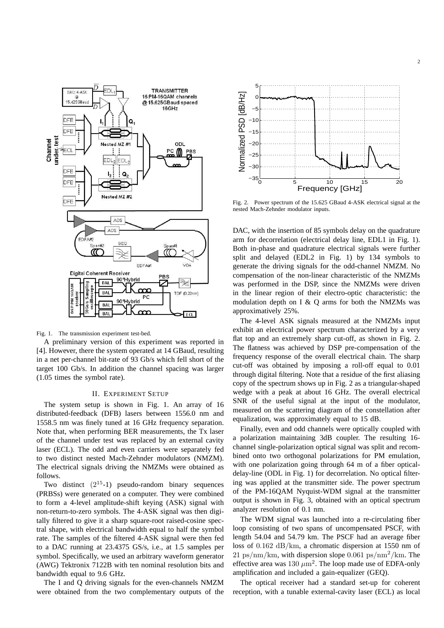

Fig. 1. The transmission experiment test-bed.

A preliminary version of this experiment was reported in [4]. However, there the system operated at 14 GBaud, resulting in a net per-channel bit-rate of 93 Gb/s which fell short of the target 100 Gb/s. In addition the channel spacing was larger (1.05 times the symbol rate).

### II. EXPERIMENT SETUP

The system setup is shown in Fig. 1. An array of 16 distributed-feedback (DFB) lasers between 1556.0 nm and 1558.5 nm was finely tuned at 16 GHz frequency separation. Note that, when performing BER measurements, the Tx laser of the channel under test was replaced by an external cavity laser (ECL). The odd and even carriers were separately fed to two distinct nested Mach-Zehnder modulators (NMZM). The electrical signals driving the NMZMs were obtained as follows.

Two distinct  $(2^{15}-1)$  pseudo-random binary sequences (PRBSs) were generated on a computer. They were combined to form a 4-level amplitude-shift keying (ASK) signal with non-return-to-zero symbols. The 4-ASK signal was then digitally filtered to give it a sharp square-root raised-cosine spectral shape, with electrical bandwidth equal to half the symbol rate. The samples of the filtered 4-ASK signal were then fed to a DAC running at 23.4375 GS/s, i.e., at 1.5 samples per symbol. Specifically, we used an arbitrary waveform generator (AWG) Tektronix 7122B with ten nominal resolution bits and bandwidth equal to 9.6 GHz.

The I and Q driving signals for the even-channels NMZM were obtained from the two complementary outputs of the



Fig. 2. Power spectrum of the 15.625 GBaud 4-ASK electrical signal at the nested Mach-Zehnder modulator inputs.

DAC, with the insertion of 85 symbols delay on the quadrature arm for decorrelation (electrical delay line, EDL1 in Fig. 1). Both in-phase and quadrature electrical signals were further split and delayed (EDL2 in Fig. 1) by 134 symbols to generate the driving signals for the odd-channel NMZM. No compensation of the non-linear characteristic of the NMZMs was performed in the DSP, since the NMZMs were driven in the linear region of their electro-optic characteristic: the modulation depth on I & Q arms for both the NMZMs was approximatively 25%.

The 4-level ASK signals measured at the NMZMs input exhibit an electrical power spectrum characterized by a very flat top and an extremely sharp cut-off, as shown in Fig. 2. The flatness was achieved by DSP pre-compensation of the frequency response of the overall electrical chain. The sharp cut-off was obtained by imposing a roll-off equal to 0.01 through digital filtering. Note that a residue of the first aliasing copy of the spectrum shows up in Fig. 2 as a triangular-shaped wedge with a peak at about 16 GHz. The overall electrical SNR of the useful signal at the input of the modulator, measured on the scattering diagram of the constellation after equalization, was approximately equal to 15 dB.

Finally, even and odd channels were optically coupled with a polarization maintaining 3dB coupler. The resulting 16 channel single-polarization optical signal was split and recombined onto two orthogonal polarizations for PM emulation, with one polarization going through 64 m of a fiber opticaldelay-line (ODL in Fig. 1) for decorrelation. No optical filtering was applied at the transmitter side. The power spectrum of the PM-16QAM Nyquist-WDM signal at the transmitter output is shown in Fig. 3, obtained with an optical spectrum analyzer resolution of 0.1 nm.

The WDM signal was launched into a re-circulating fiber loop consisting of two spans of uncompensated PSCF, with length 54.04 and 54.79 km. The PSCF had an average fiber loss of 0.162 dB/km, a chromatic dispersion at 1550 nm of  $21 \text{ ps/mm/km}$ , with dispersion slope 0.061 ps/nm<sup>2</sup>/km. The effective area was  $130 \ \mu \text{m}^2$ . The loop made use of EDFA-only amplification and included a gain-equalizer (GEQ).

The optical receiver had a standard set-up for coherent reception, with a tunable external-cavity laser (ECL) as local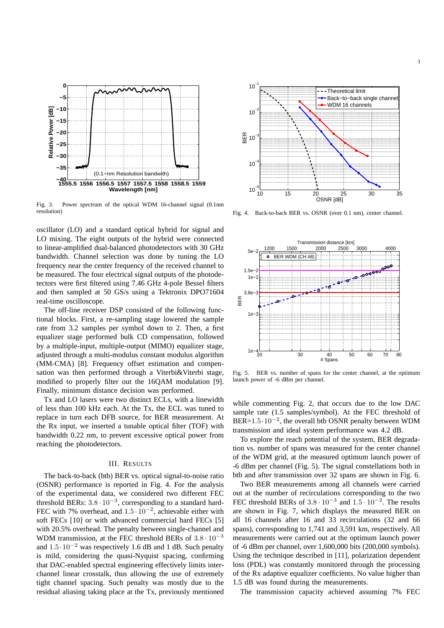

Fig. 3. Power spectrum of the optical WDM 16-channel signal (0.1nm resolution)

oscillator (LO) and a standard optical hybrid for signal and LO mixing. The eight outputs of the hybrid were connected to linear-amplified dual-balanced photodetectors with 30 GHz bandwidth. Channel selection was done by tuning the LO frequency near the center frequency of the received channel to be measured. The four electrical signal outputs of the photodetectors were first filtered using 7.46 GHz 4-pole Bessel filters and then sampled at 50 GS/s using a Tektronix DPO71604 real-time oscilloscope.

The off-line receiver DSP consisted of the following functional blocks. First, a re-sampling stage lowered the sample rate from 3.2 samples per symbol down to 2. Then, a first equalizer stage performed bulk CD compensation, followed by a multiple-input, multiple-output (MIMO) equalizer stage, adjusted through a multi-modulus constant modulus algorithm (MM-CMA) [8]. Frequency offset estimation and compensation was then performed through a Viterbi&Viterbi stage, modified to properly filter out the 16QAM modulation [9]. Finally, minimum distance decision was performed.

Tx and LO lasers were two distinct ECLs, with a linewidth of less than 100 kHz each. At the Tx, the ECL was tuned to replace in turn each DFB source, for BER measurement. At the Rx input, we inserted a tunable optical filter (TOF) with bandwidth 0.22 nm, to prevent excessive optical power from reaching the photodetectors.

## III. RESULTS

The back-to-back (btb) BER vs. optical signal-to-noise ratio (OSNR) performance is reported in Fig. 4. For the analysis of the experimental data, we considered two different FEC threshold BERs:  $3.8 \cdot 10^{-3}$ , corresponding to a standard hard-FEC with 7% overhead, and  $1.5 \cdot 10^{-2}$ , achievable either with soft FECs [10] or with advanced commercial hard FECs [5] with 20.5% overhead. The penalty between single-channel and WDM transmission, at the FEC threshold BERs of  $3.8 \cdot 10^{-3}$ and  $1.5 \cdot 10^{-2}$  was respectively 1.6 dB and 1 dB. Such penalty is mild, considering the quasi-Nyquist spacing, confirming that DAC-enabled spectral engineering effectively limits interchannel linear crosstalk, thus allowing the use of extremely tight channel spacing. Such penalty was mostly due to the residual aliasing taking place at the Tx, previously mentioned



Fig. 4. Back-to-back BER vs. OSNR (over 0.1 nm), center channel.



Fig. 5. BER vs. number of spans for the center channel, at the optimum launch power of -6 dBm per channel.

while commenting Fig. 2, that occurs due to the low DAC sample rate (1.5 samples/symbol). At the FEC threshold of  $BER=1.5·10^{-2}$ , the overall btb OSNR penalty between WDM transmission and ideal system performance was 4.2 dB.

To explore the reach potential of the system, BER degradation vs. number of spans was measured for the center channel of the WDM grid, at the measured optimum launch power of -6 dBm per channel (Fig. 5). The signal constellations both in btb and after transmission over 32 spans are shown in Fig. 6.

Two BER measurements among all channels were carried out at the number of recirculations corresponding to the two FEC threshold BERs of  $3.8 \cdot 10^{-3}$  and  $1.5 \cdot 10^{-2}$ . The results are shown in Fig. 7, which displays the measured BER on all 16 channels after 16 and 33 recirculations (32 and 66 spans), corresponding to 1,741 and 3,591 km, respectively. All measurements were carried out at the optimum launch power of -6 dBm per channel, over 1,600,000 bits (200,000 symbols). Using the technique described in [11], polarization dependent loss (PDL) was constantly monitored through the processing of the Rx adaptive equalizer coefficients. No value higher than 1.5 dB was found during the measurements.

The transmission capacity achieved assuming 7% FEC